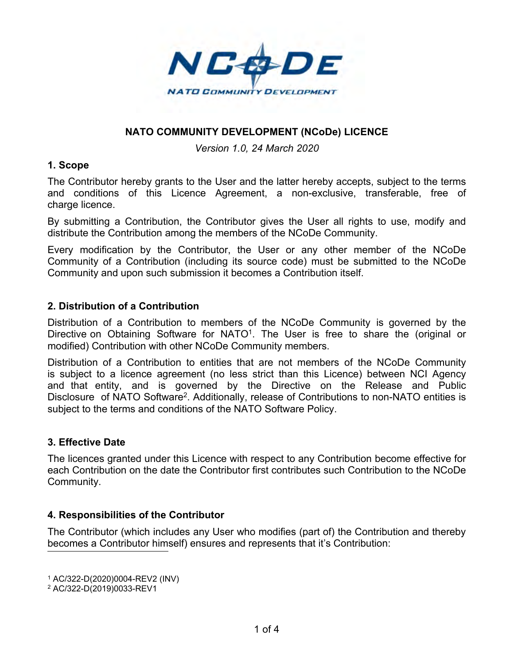

### **NATO COMMUNITY DEVELOPMENT (NCoDe) LICENCE**

#### *Version 1.0, 24 March 2020*

#### **1. Scope**

The Contributor hereby grants to the User and the latter hereby accepts, subject to the terms and conditions of this Licence Agreement, a non-exclusive, transferable, free of charge licence.

By submitting a Contribution, the Contributor gives the User all rights to use, modify and distribute the Contribution among the members of the NCoDe Community.

Every modification by the Contributor, the User or any other member of the NCoDe Community of a Contribution (including its source code) must be submitted to the NCoDe Community and upon such submission it becomes a Contribution itself.

### **2. Distribution of a Contribution**

Distribution of a Contribution to members of the NCoDe Community is governed by the Directive on Obtaining Software for NATO<sup>1</sup>. The User is free to share the (original or modified) Contribution with other NCoDe Community members.

Distribution of a Contribution to entities that are not members of the NCoDe Community is subject to a licence agreement (no less strict than this Licence) between NCI Agency and that entity, and is governed by the Directive on the Release and Public Disclosure of NATO Software<sup>2</sup>. Additionally, release of Contributions to non-NATO entities is subject to the terms and conditions of the NATO Software Policy.

### **3. Effective Date**

The licences granted under this Licence with respect to any Contribution become effective for each Contribution on the date the Contributor first contributes such Contribution to the NCoDe Community.

### **4. Responsibilities of the Contributor**

The Contributor (which includes any User who modifies (part of) the Contribution and thereby becomes a Contributor himself) ensures and represents that it's Contribution:

<sup>1</sup> AC/322-D(2020)0004-REV2 (INV)

<sup>2</sup> AC/322-D(2019)0033-REV1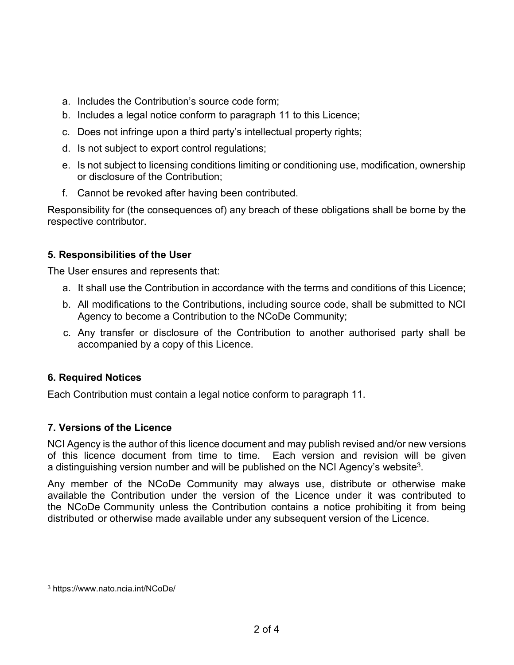- a. Includes the Contribution's source code form;
- b. Includes a legal notice conform to paragraph [11](#page-2-0) to this Licence;
- c. Does not infringe upon a third party's intellectual property rights;
- d. Is not subject to export control regulations;
- e. Is not subject to licensing conditions limiting or conditioning use, modification, ownership or disclosure of the Contribution;
- f. Cannot be revoked after having been contributed.

Responsibility for (the consequences of) any breach of these obligations shall be borne by the respective contributor.

# **5. Responsibilities of the User**

The User ensures and represents that:

- a. It shall use the Contribution in accordance with the terms and conditions of this Licence;
- b. All modifications to the Contributions, including source code, shall be submitted to NCI Agency to become a Contribution to the NCoDe Community;
- c. Any transfer or disclosure of the Contribution to another authorised party shall be accompanied by a copy of this Licence.

## **6. Required Notices**

Each Contribution must contain a legal notice conform to paragraph [11](#page-2-0).

## **7. Versions of the Licence**

NCI Agency is the author of this licence document and may publish revised and/or new versions of this licence document from time to time. Each version and revision will be given a distinguishing version number and will be published on the NCI Agency's website $^3$ .

Any member of the NCoDe Community may always use, distribute or otherwise make available the Contribution under the version of the Licence under it was contributed to the NCoDe Community unless the Contribution contains a notice prohibiting it from being distributed or otherwise made available under any subsequent version of the Licence.

<sup>3</sup> https://www.nato.ncia.int/NCoDe/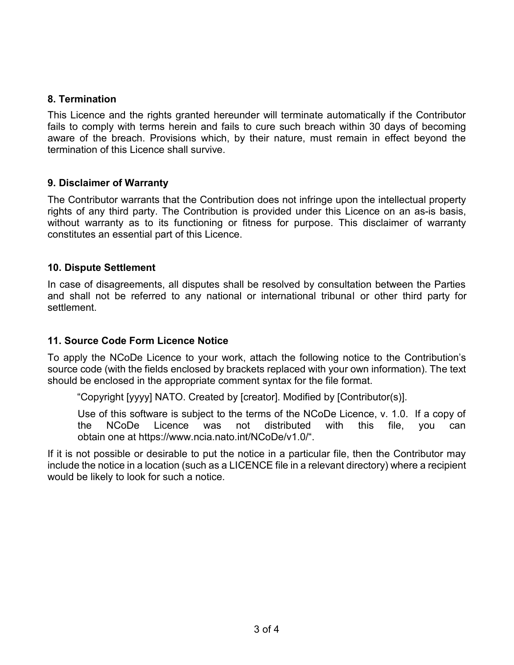### **8. Termination**

This Licence and the rights granted hereunder will terminate automatically if the Contributor fails to comply with terms herein and fails to cure such breach within 30 days of becoming aware of the breach. Provisions which, by their nature, must remain in effect beyond the termination of this Licence shall survive.

### **9. Disclaimer of Warranty**

The Contributor warrants that the Contribution does not infringe upon the intellectual property rights of any third party. The Contribution is provided under this Licence on an as-is basis, without warranty as to its functioning or fitness for purpose. This disclaimer of warranty constitutes an essential part of this Licence.

### **10. Dispute Settlement**

In case of disagreements, all disputes shall be resolved by consultation between the Parties and shall not be referred to any national or international tribunal or other third party for settlement.

## <span id="page-2-0"></span>**11. Source Code Form Licence Notice**

To apply the NCoDe Licence to your work, attach the following notice to the Contribution's source code (with the fields enclosed by brackets replaced with your own information). The text should be enclosed in the appropriate comment syntax for the file format.

"Copyright [yyyy] NATO. Created by [creator]. Modified by [Contributor(s)].

Use of this software is subject to the terms of the NCoDe Licence, v. 1.0. If a copy of the NCoDe Licence was not distributed with this file, you can obtain one at https://www.ncia.nato.int/NCoDe/v1.0/".

If it is not possible or desirable to put the notice in a particular file, then the Contributor may include the notice in a location (such as a LICENCE file in a relevant directory) where a recipient would be likely to look for such a notice.